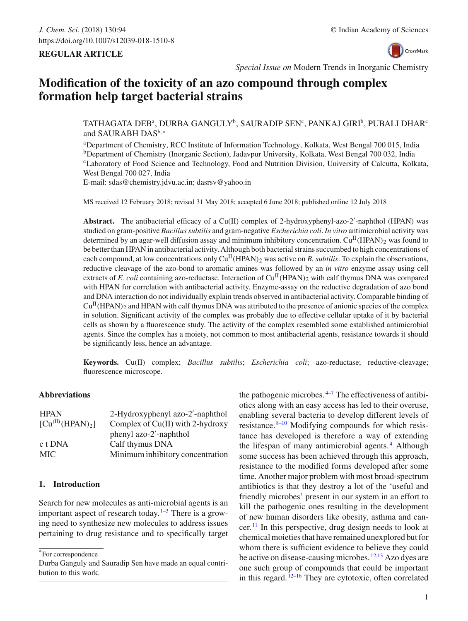## **REGULAR ARTICLE**



*Special Issue on* Modern Trends in Inorganic Chemistry

# **Modification of the toxicity of an azo compound through complex formation help target bacterial strains**

TATHAGATA DEBª, DURBA GANGULY<sup>b</sup>, SAURADIP SEN<sup>c</sup>, PANKAJ GIRI<sup>b</sup>, PUBALI DHAR<sup>c</sup> and SAURABH DAS<sup>b,\*</sup>

aDepartment of Chemistry, RCC Institute of Information Technology, Kolkata, West Bengal 700 015, India bDepartment of Chemistry (Inorganic Section), Jadavpur University, Kolkata, West Bengal 700 032, India cLaboratory of Food Science and Technology, Food and Nutrition Division, University of Calcutta, Kolkata, West Bengal 700 027, India

E-mail: sdas@chemistry.jdvu.ac.in; dasrsv@yahoo.in

MS received 12 February 2018; revised 31 May 2018; accepted 6 June 2018; published online 12 July 2018

Abstract. The antibacterial efficacy of a Cu(II) complex of 2-hydroxyphenyl-azo-2'-naphthol (HPAN) was studied on gram-positive *Bacillus subtilis* and gram-negative *Escherichia coli*. *In vitro* antimicrobial activity was determined by an agar-well diffusion assay and minimum inhibitory concentration. Cu<sup>II</sup>(HPAN)<sub>2</sub> was found to be better than HPAN in antibacterial activity. Although both bacterial strains succumbed to high concentrations of each compound, at low concentrations only  $Cu<sup>H</sup>(HPAN)$ <sub>2</sub> was active on *B. subtilis*. To explain the observations, reductive cleavage of the azo-bond to aromatic amines was followed by an *in vitro* enzyme assay using cell extracts of *E. coli* containing azo-reductase. Interaction of  $Cu<sup>H</sup>(HPAN)<sub>2</sub>$  with calf thymus DNA was compared with HPAN for correlation with antibacterial activity. Enzyme-assay on the reductive degradation of azo bond and DNA interaction do not individually explain trends observed in antibacterial activity. Comparable binding of  $Cu<sup>H</sup>(HPAN)<sub>2</sub>$  and HPAN with calf thymus DNA was attributed to the presence of anionic species of the complex in solution. Significant activity of the complex was probably due to effective cellular uptake of it by bacterial cells as shown by a fluorescence study. The activity of the complex resembled some established antimicrobial agents. Since the complex has a moiety, not common to most antibacterial agents, resistance towards it should be significantly less, hence an advantage.

**Keywords.** Cu(II) complex; *Bacillus subtilis*; *Escherichia coli*; azo-reductase; reductive-cleavage; fluorescence microscope.

## **Abbreviations**

| <b>HPAN</b>                       | 2-Hydroxyphenyl azo-2'-naphthol    |
|-----------------------------------|------------------------------------|
| $[Cu^{(II)}(HPAN)$ <sub>2</sub> ] | Complex of $Cu(II)$ with 2-hydroxy |
|                                   | phenyl azo-2'-naphthol             |
| c t DNA                           | Calf thymus DNA                    |
| MIC.                              | Minimum inhibitory concentration   |

## **1. Introduction**

Search for new molecules as anti-microbial agents is an important aspect of research today.  $1-3$  $1-3$  There is a growing need to synthesize new molecules to address issues pertaining to drug resistance and to specifically target

\*For correspondence

the pathogenic microbes. $4-7$  $4-7$  The effectiveness of antibiotics along with an easy access has led to their overuse, enabling several bacteria to develop different levels of resistance. [8](#page-7-4)[–10](#page-7-5) Modifying compounds for which resistance has developed is therefore a way of extending the lifespan of many antimicrobial agents.<sup>[4](#page-7-2)</sup> Although some success has been achieved through this approach, resistance to the modified forms developed after some time. Another major problem with most broad-spectrum antibiotics is that they destroy a lot of the 'useful and friendly microbes' present in our system in an effort to kill the pathogenic ones resulting in the development of new human disorders like obesity, asthma and cancer.  $\frac{11}{11}$  $\frac{11}{11}$  $\frac{11}{11}$  In this perspective, drug design needs to look at chemical moieties that have remained unexplored but for whom there is sufficient evidence to believe they could be active on disease-causing microbes. [12](#page-7-7)[,13](#page-7-8) Azo dyes are one such group of compounds that could be important in this regard.  $12-16$  $12-16$  They are cytotoxic, often correlated

Durba Ganguly and Sauradip Sen have made an equal contribution to this work.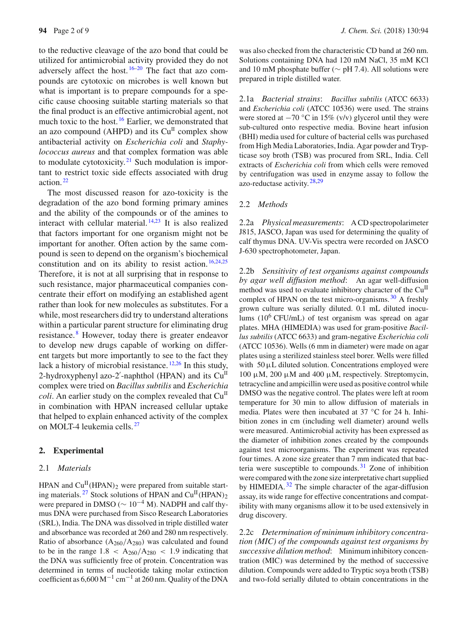to the reductive cleavage of the azo bond that could be utilized for antimicrobial activity provided they do not adversely affect the host.  $16-20$  $16-20$  The fact that azo compounds are cytotoxic on microbes is well known but what is important is to prepare compounds for a specific cause choosing suitable starting materials so that the final product is an effective antimicrobial agent, not much toxic to the host.<sup>[16](#page-8-0)</sup> Earlier, we demonstrated that an azo compound (AHPD) and its  $Cu<sup>H</sup>$  complex show antibacterial activity on *Escherichia coli* and *Staphylococcus aureus* and that complex formation was able to modulate cytotoxicity.<sup>[21](#page-8-2)</sup> Such modulation is important to restrict toxic side effects associated with drug action. [22](#page-8-3)

The most discussed reason for azo-toxicity is the degradation of the azo bond forming primary amines and the ability of the compounds or of the amines to interact with cellular material. [14](#page-8-4)[,23](#page-8-5) It is also realized that factors important for one organism might not be important for another. Often action by the same compound is seen to depend on the organism's biochemical constitution and on its ability to resist action.  $16,24,25$  $16,24,25$  $16,24,25$ Therefore, it is not at all surprising that in response to such resistance, major pharmaceutical companies concentrate their effort on modifying an established agent rather than look for new molecules as substitutes. For a while, most researchers did try to understand alterations within a particular parent structure for eliminating drug resistance. [8](#page-7-4) However, today there is greater endeavor to develop new drugs capable of working on different targets but more importantly to see to the fact they lack a history of microbial resistance.  $12,26$  $12,26$  In this study, 2-hydroxyphenyl azo-2'-naphthol (HPAN) and its  $Cu<sup>H</sup>$ complex were tried on *Bacillus subtilis* and *Escherichia coli*. An earlier study on the complex revealed that  $Cu<sup>H</sup>$ in combination with HPAN increased cellular uptake that helped to explain enhanced activity of the complex on MOLT-4 leukemia cells. [27](#page-8-9)

#### **2. Experimental**

#### 2.1 *Materials*

HPAN and  $Cu^{II}(HPAN)$ <sub>2</sub> were prepared from suitable start-ing materials. <sup>[27](#page-8-9)</sup> Stock solutions of HPAN and  $Cu^{II}(HPAN)_{2}$ were prepared in DMSO ( $\sim 10^{-4}$  M). NADPH and calf thymus DNA were purchased from Sisco Research Laboratories (SRL), India. The DNA was dissolved in triple distilled water and absorbance was recorded at 260 and 280 nm respectively. Ratio of absorbance  $(A_{260}/A_{280})$  was calculated and found to be in the range  $1.8 < A_{260}/A_{280} < 1.9$  indicating that the DNA was sufficiently free of protein. Concentration was determined in terms of nucleotide taking molar extinction coefficient as  $6,600 \,\mathrm{M}^{-1} \text{ cm}^{-1}$  at 260 nm. Quality of the DNA was also checked from the characteristic CD band at 260 nm. Solutions containing DNA had 120 mM NaCl, 35 mM KCl and 10 mM phosphate buffer ( $\sim$  pH 7.4). All solutions were prepared in triple distilled water.

2.1a *Bacterial strains*: *Bacillus subtilis* (ATCC 6633) and *Escherichia coli* (ATCC 10536) were used. The strains were stored at −70 °C in 15% (v/v) glycerol until they were sub-cultured onto respective media. Bovine heart infusion (BHI) media used for culture of bacterial cells was purchased from High Media Laboratories, India. Agar powder and Trypticase soy broth (TSB) was procured from SRL, India. Cell extracts of *Escherichia coli* from which cells were removed by centrifugation was used in enzyme assay to follow the azo-reductase activity. [28](#page-8-10)[,29](#page-8-11)

#### 2.2 *Methods*

2.2a *Physical measurements*: A CD spectropolarimeter J815, JASCO, Japan was used for determining the quality of calf thymus DNA. UV-Vis spectra were recorded on JASCO J-630 spectrophotometer, Japan.

2.2b *Sensitivity of test organisms against compounds by agar well diffusion method*: An agar well-diffusion method was used to evaluate inhibitory character of the Cu<sup>II</sup> complex of HPAN on the test micro-organisms.  $30$  A freshly grown culture was serially diluted. 0.1 mL diluted inoculums  $(10^6 \text{ CFU/mL})$  of test organism was spread on agar plates. MHA (HIMEDIA) was used for gram-positive *Bacillus subtilis* (ATCC 6633) and gram-negative *Escherichia coli* (ATCC 10536). Wells (6 mm in diameter) were made on agar plates using a sterilized stainless steel borer. Wells were filled with  $50 \mu L$  diluted solution. Concentrations employed were 100 μM, 200 μM and 400 μM, respectively. Streptomycin, tetracycline and ampicillin were used as positive control while DMSO was the negative control. The plates were left at room temperature for 30 min to allow diffusion of materials in media. Plates were then incubated at 37 ◦C for 24 h. Inhibition zones in cm (including well diameter) around wells were measured. Antimicrobial activity has been expressed as the diameter of inhibition zones created by the compounds against test microorganisms. The experiment was repeated four times. A zone size greater than 7 mm indicated that bacteria were susceptible to compounds.  $31$  Zone of inhibition were compared with the zone size interpretative chart supplied by HIMEDIA. $32$  The simple character of the agar-diffusion assay, its wide range for effective concentrations and compatibility with many organisms allow it to be used extensively in drug discovery.

2.2c *Determination of minimum inhibitory concentration (MIC) of the compounds against test organisms by successive dilution method*: Minimum inhibitory concentration (MIC) was determined by the method of successive dilution. Compounds were added to Tryptic soya broth (TSB) and two-fold serially diluted to obtain concentrations in the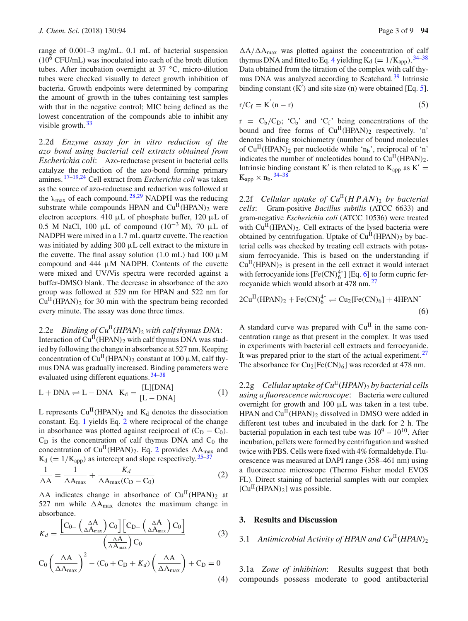range of 0.001–3 mg/mL. 0.1 mL of bacterial suspension  $(10^6 \text{ CFU/mL})$  was inoculated into each of the broth dilution tubes. After incubation overnight at 37 ◦C, micro-dilution tubes were checked visually to detect growth inhibition of bacteria. Growth endpoints were determined by comparing the amount of growth in the tubes containing test samples with that in the negative control; MIC being defined as the lowest concentration of the compounds able to inhibit any visible growth.<sup>[33](#page-8-15)</sup>

2.2d *Enzyme assay for in vitro reduction of the azo bond using bacterial cell extracts obtained from Escherichia coli*: Azo-reductase present in bacterial cells catalyze the reduction of the azo-bond forming primary amines. [17](#page-8-16)[–19](#page-8-17)[,24](#page-8-6) Cell extract from *Escherichia coli* was taken as the source of azo-reductase and reduction was followed at the  $\lambda_{\text{max}}$  of each compound. <sup>[28](#page-8-10)[,29](#page-8-11)</sup> NADPH was the reducing substrate while compounds HPAN and  $Cu<sup>H</sup>(HPAN)<sub>2</sub>$  were electron acceptors. 410 μL of phosphate buffer, 120 μL of 0.5 M NaCl, 100 μL of compound  $(10^{-3}$  M), 70 μL of NADPH were mixed in a 1.7 mL quartz cuvette. The reaction was initiated by adding 300 μL cell extract to the mixture in the cuvette. The final assay solution (1.0 mL) had 100  $\mu$ M compound and 444 μM NADPH. Contents of the cuvette were mixed and UV/Vis spectra were recorded against a buffer-DMSO blank. The decrease in absorbance of the azo group was followed at 529 nm for HPAN and 522 nm for  $Cu<sup>H</sup>(HPAN)$ <sub>2</sub> for 30 min with the spectrum being recorded every minute. The assay was done three times.

2.2e *Binding of*  $Cu^{II}(HPAN)$ *<sub>2</sub> with calf thymus DNA*: Interaction of  $Cu<sup>II</sup>(HPAN)<sub>2</sub>$  with calf thymus DNA was studied by following the change in absorbance at 527 nm. Keeping concentration of  $Cu^{II}(HPAN)_2$  constant at 100  $\mu$ M, calf thymus DNA was gradually increased. Binding parameters were evaluated using different equations.  $34-38$  $34-38$ 

<span id="page-2-0"></span>
$$
L + DNA \rightleftharpoons L - DNA \quad K_d = \frac{[L][DNA]}{[L - DNA]}
$$
 (1)

L represents  $Cu<sup>H</sup>(HPAN)<sub>2</sub>$  and  $K<sub>d</sub>$  denotes the dissociation constant. Eq. [1](#page-2-0) yields Eq. [2](#page-2-1) where reciprocal of the change in absorbance was plotted against reciprocal of  $(C_D - C_0)$ .  $C_D$  is the concentration of calf thymus DNA and  $C_0$  the concentration of Cu<sup>II</sup>(HPAN)<sub>[2](#page-2-1)</sub>. Eq. 2 provides  $\Delta A_{\text{max}}$  and  $K_d$  (= 1/K<sub>app</sub>) as intercept and slope respectively.<sup>[35](#page-8-20)[–37](#page-8-21)</sup>

<span id="page-2-1"></span>
$$
\frac{1}{\Delta A} = \frac{1}{\Delta A_{\text{max}}} + \frac{K_d}{\Delta A_{\text{max}}(C_D - C_0)}
$$
(2)

 $\Delta A$  indicates change in absorbance of Cu<sup>II</sup>(HPAN)<sub>2</sub> at 527 nm while  $\Delta A_{\text{max}}$  denotes the maximum change in absorbance.

<span id="page-2-2"></span>
$$
K_d = \frac{\left[C_{0-}\left(\frac{\Delta A}{\Delta A_{\text{max}}}\right)C_0\right]\left[C_{\text{D}-}\left(\frac{\Delta A}{\Delta A_{\text{max}}}\right)C_0\right]}{\left(\frac{\Delta A}{\Delta A_{\text{max}}}\right)C_0}
$$
(3)

$$
C_0 \left(\frac{\Delta A}{\Delta A_{\text{max}}}\right)^2 - (C_0 + C_D + K_d) \left(\frac{\Delta A}{\Delta A_{\text{max}}}\right) + C_D = 0
$$
\n(4)

 $\Delta A/\Delta A_{\text{max}}$  was plotted against the concentration of calf thymus DNA and fitted to Eq. [4](#page-2-2) yielding  $K_d$  (=  $1/K_{app}$ ).  $34-38$  $34-38$ Data obtained from the titration of the complex with calf thy-mus DNA was analyzed according to Scatchard.<sup>[39](#page-8-22)</sup> Intrinsic binding constant  $(K')$  and site size (n) were obtained [Eq. [5\]](#page-2-3).

<span id="page-2-3"></span>
$$
r/C_f = K'(n-r) \tag{5}
$$

 $r = C_b/C_D$ ;  $C_b$  and  $C_f$  being concentrations of the bound and free forms of  $Cu^{II}(HPAN)_2$  respectively. 'n' denotes binding stoichiometry (number of bound molecules of  $Cu<sup>H</sup>(HPAN)<sub>2</sub>$  per nucleotide while 'n<sub>b</sub>', reciprocal of 'n' indicates the number of nucleotides bound to  $Cu^{II}(HPAN)_{2}$ . Intrinsic binding constant K' is then related to  $K_{app}$  as  $K' =$  $K_{app} \times n_b$ . [34](#page-8-18)[–38](#page-8-19)

2.2f *Cellular uptake of*  $Cu^{II}(HPAN)$ *<sub>2</sub> by bacterial cells*: Gram-positive *Bacillus subtilis* (ATCC 6633) and gram-negative *Escherichia coli* (ATCC 10536) were treated with  $Cu^{II}(HPAN)$ <sub>2</sub>. Cell extracts of the lysed bacteria were obtained by centrifugation. Uptake of  $Cu^{II}(HPAN)_2$  by bacterial cells was checked by treating cell extracts with potassium ferrocyanide. This is based on the understanding if  $Cu<sup>H</sup>(HPAN)<sub>2</sub>$  is present in the cell extract it would interact with ferrocyanide ions  $[Fe(CN)<sub>6</sub><sup>4-</sup>]$  [Eq. [6\]](#page-2-4) to form cupric ferrocyanide which would absorb at 478 nm. [27](#page-8-9)

<span id="page-2-4"></span>
$$
2CuH(HPAN)2 + Fe(CN)64- \rightleftharpoons Cu2[Fe(CN)6] + 4HPAN
$$
\n(6)

A standard curve was prepared with  $Cu<sup>H</sup>$  in the same concentration range as that present in the complex. It was used in experiments with bacterial cell extracts and ferrocyanide. It was prepared prior to the start of the actual experiment.  $27$ The absorbance for  $Cu_2[Fe(CN)_6]$  was recorded at 478 nm.

2.2g *Cellular uptake of*  $Cu^{II}(HPAN)$ *, by bacterial cells using a fluorescence microscope*: Bacteria were cultured overnight for growth and 100 μL was taken in a test tube. HPAN and  $Cu^{II}$ (HPAN)<sub>2</sub> dissolved in DMSO were added in different test tubes and incubated in the dark for 2 h. The bacterial population in each test tube was  $10^9 - 10^{10}$ . After incubation, pellets were formed by centrifugation and washed twice with PBS. Cells were fixed with 4% formaldehyde. Fluorescence was measured at DAPI range (358–461 nm) using a fluorescence microscope (Thermo Fisher model EVOS FL). Direct staining of bacterial samples with our complex  $[Cu^{II}(HPAN)_2]$  was possible.

#### **3. Results and Discussion**

#### 3.1 Antimicrobial Activity of HPAN and  $Cu<sup>II</sup>(HPAN)<sub>2</sub>$

3.1a *Zone of inhibition*: Results suggest that both compounds possess moderate to good antibacterial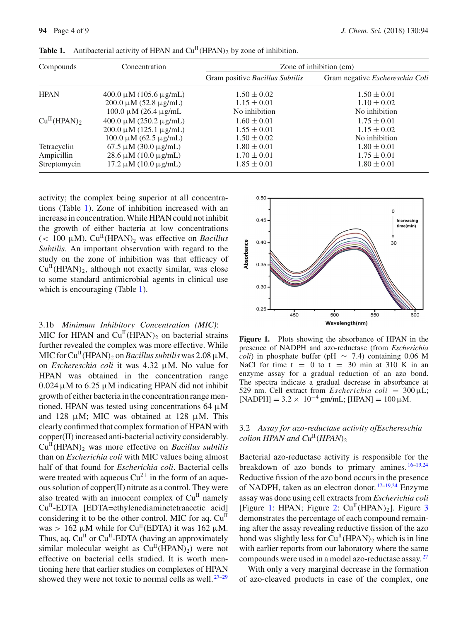| Compounds                     | Concentration                  | Zone of inhibition (cm)         |                                 |
|-------------------------------|--------------------------------|---------------------------------|---------------------------------|
|                               |                                | Gram positive Bacillus Subtilis | Gram negative Eschereschia Coli |
| <b>HPAN</b>                   | $400.0 \mu M (105.6 \mu g/mL)$ | $1.50 \pm 0.02$                 | $1.50 \pm 0.01$                 |
|                               | $200.0 \mu M (52.8 \mu g/mL)$  | $1.15 \pm 0.01$                 | $1.10 \pm 0.02$                 |
|                               | $100.0 \mu M$ (26.4 $\mu$ g/mL | No inhibition                   | No inhibition                   |
| $Cu^{II}$ (HPAN) <sub>2</sub> | $400.0 \mu M (250.2 \mu g/mL)$ | $1.60 \pm 0.01$                 | $1.75 \pm 0.01$                 |
|                               | $200.0 \mu M (125.1 \mu g/mL)$ | $1.55 \pm 0.01$                 | $1.15 \pm 0.02$                 |
|                               | $100.0 \mu M (62.5 \mu g/mL)$  | $1.50 \pm 0.02$                 | No inhibition                   |
| Tetracyclin                   | $67.5 \mu M (30.0 \mu g/mL)$   | $1.80 \pm 0.01$                 | $1.80 \pm 0.01$                 |
| Ampicillin                    | $28.6 \mu M (10.0 \mu g/mL)$   | $1.70 \pm 0.01$                 | $1.75 \pm 0.01$                 |
| Streptomycin                  | $17.2 \mu M (10.0 \mu g/mL)$   | $1.85 \pm 0.01$                 | $1.80 \pm 0.01$                 |

<span id="page-3-0"></span>**Table 1.** Antibacterial activity of HPAN and  $Cu^{II}(HPAN)$ <sub>2</sub> by zone of inhibition.

activity; the complex being superior at all concentrations (Table [1\)](#page-3-0). Zone of inhibition increased with an increase in concentration. While HPAN could not inhibit the growth of either bacteria at low concentrations ( $< 100 \mu M$ ), Cu<sup>II</sup>(HPAN)<sub>2</sub> was effective on *Bacillus Subtilis*. An important observation with regard to the study on the zone of inhibition was that efficacy of  $Cu<sup>H</sup>(HPAN)<sub>2</sub>$ , although not exactly similar, was close to some standard antimicrobial agents in clinical use which is encouraging (Table [1\)](#page-3-0).

#### 3.1b *Minimum Inhibitory Concentration (MIC)*:

MIC for HPAN and  $Cu<sup>H</sup>(HPAN)$ <sub>2</sub> on bacterial strains further revealed the complex was more effective. While MIC for  $Cu^{II}$ (HPAN)<sub>2</sub> on *Bacillus subtilis* was 2.08  $\mu$ M, on *Eschereschia coli* it was 4.32 μM. No value for HPAN was obtained in the concentration range  $0.024 \mu M$  to 6.25  $\mu$ M indicating HPAN did not inhibit growth of either bacteria in the concentration range mentioned. HPAN was tested using concentrations 64  $\mu$ M and 128  $\mu$ M; MIC was obtained at 128  $\mu$ M. This clearly confirmed that complex formation of HPAN with copper(II) increased anti-bacterial activity considerably.  $Cu<sup>II</sup>(HPAN)<sub>2</sub>$  was more effective on *Bacillus subtilis* than on *Escherichia coli* with MIC values being almost half of that found for *Escherichia coli*. Bacterial cells were treated with aqueous  $Cu^{2+}$  in the form of an aqueous solution of copper(II) nitrate as a control. They were also treated with an innocent complex of  $Cu<sup>H</sup>$  namely  $Cu<sup>II</sup>$ -EDTA [EDTA=ethylenediaminetetraacetic acid] considering it to be the other control. MIC for aq.  $Cu<sup>H</sup>$ was  $> 162 \mu M$  while for Cu<sup>II</sup>(EDTA) it was 162  $\mu$ M. Thus, aq.  $Cu^{II}$  or  $Cu^{II}$ -EDTA (having an approximately similar molecular weight as  $Cu<sup>H</sup>(HPAN)<sub>2</sub>$  were not effective on bacterial cells studied. It is worth mentioning here that earlier studies on complexes of HPAN showed they were not toxic to normal cells as well.  $27-29$  $27-29$ 



<span id="page-3-1"></span>**Figure 1.** Plots showing the absorbance of HPAN in the presence of NADPH and azo-reductase (from *Escherichia coli*) in phosphate buffer (pH  $\sim$  7.4) containing 0.06 M NaCl for time  $t = 0$  to  $t = 30$  min at 310 K in an enzyme assay for a gradual reduction of an azo bond. The spectra indicate a gradual decrease in absorbance at 529 nm. Cell extract from *Escherichia coli* = 300 μL;  $[NADPH] = 3.2 \times 10^{-4}$  gm/mL;  $[HPAN] = 100 \,\mu\text{M}$ .

## 3.2 *Assay for azo-reductase activity ofEschereschia colion HPAN and*  $Cu^{II}(HPAN)$ <sub>2</sub>

Bacterial azo-reductase activity is responsible for the breakdown of azo bonds to primary amines. [16](#page-8-0)[–19](#page-8-17)[,24](#page-8-6) Reductive fission of the azo bond occurs in the presence of NADPH, taken as an electron donor.<sup>[17](#page-8-16)[–19](#page-8-17)[,24](#page-8-6)</sup> Enzyme assay was done using cell extracts from *Escherichia coli* [Figure [1:](#page-3-1) HPAN; Figure [2:](#page-4-0)  $Cu<sup>H</sup>(HPAN)<sub>2</sub>$ ]. Figure [3](#page-4-1) demonstrates the percentage of each compound remaining after the assay revealing reductive fission of the azo bond was slightly less for  $Cu^{II}(HPAN)_{2}$  which is in line with earlier reports from our laboratory where the same compounds were used in a model azo-reductase assay.<sup>[27](#page-8-9)</sup>

With only a very marginal decrease in the formation of azo-cleaved products in case of the complex, one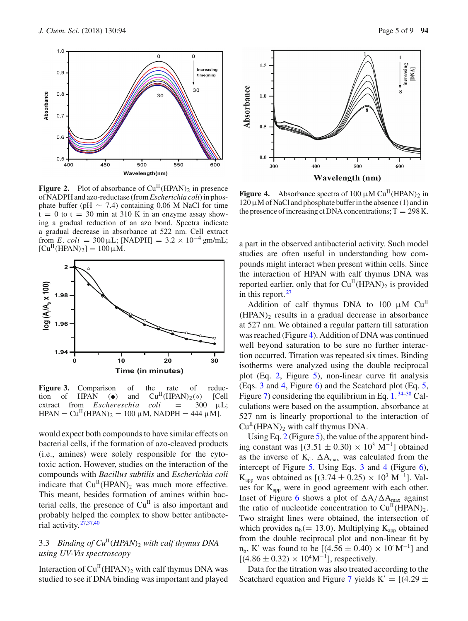

<span id="page-4-0"></span>**Figure 2.** Plot of absorbance of  $Cu^H(HPAN)_2$  in presence of NADPH and azo-reductase (from*Escherichia coli*) in phosphate buffer (pH  $\sim$  7.4) containing 0.06 M NaCl for time  $t = 0$  to  $t = 30$  min at 310 K in an enzyme assay showing a gradual reduction of an azo bond. Spectra indicate a gradual decrease in absorbance at 522 nm. Cell extract from *E*. *coli* = 300 µL; [NADPH] =  $3.2 \times 10^{-4}$  gm/mL;  $[Cu^{II}(HPAN)_2] = 100 \mu M.$ 



<span id="page-4-1"></span>Figure 3. Comparison of the rate of reduction of HPAN ( $\bullet$ ) and Cu<sup>II</sup>(HPAN)<sub>2</sub>( $\circ$ ) [Cell extract from *Eschereschia coli* = 300  $\mu$ L; extract from *Eschereschia*  $HPAN = Cu^{II}(HPAN)_2 = 100 \mu M$ , NADPH = 444  $\mu$ M].

would expect both compounds to have similar effects on bacterial cells, if the formation of azo-cleaved products (i.e., amines) were solely responsible for the cytotoxic action. However, studies on the interaction of the compounds with *Bacillus subtilis* and *Escherichia coli* indicate that  $Cu<sup>H</sup>(HPAN)<sub>2</sub>$  was much more effective. This meant, besides formation of amines within bacterial cells, the presence of  $Cu<sup>H</sup>$  is also important and probably helped the complex to show better antibacterial activity. [27](#page-8-9)[,37](#page-8-21)[,40](#page-8-23)

# 3.3 *Binding of*  $Cu<sup>H</sup>(HPAN)<sub>2</sub>$  *with calf thymus DNA using UV-Vis spectroscopy*

Interaction of  $Cu^{II}$ (HPAN)<sub>2</sub> with calf thymus DNA was studied to see if DNA binding was important and played



<span id="page-4-2"></span>**Figure 4.** Absorbance spectra of 100  $\mu$ M Cu<sup>II</sup>(HPAN)<sub>2</sub> in  $120 \mu$ M of NaCl and phosphate buffer in the absence (1) and in the presence of increasing ct DNA concentrations;  $T = 298$  K.

a part in the observed antibacterial activity. Such model studies are often useful in understanding how compounds might interact when present within cells. Since the interaction of HPAN with calf thymus DNA was reported earlier, only that for  $Cu^{II}(HPAN)_{2}$  is provided in this report.  $27$ 

Addition of calf thymus DNA to 100  $\mu$ M Cu<sup>II</sup>  $(HPAN)$ <sub>2</sub> results in a gradual decrease in absorbance at 527 nm. We obtained a regular pattern till saturation was reached (Figure [4\)](#page-4-2). Addition of DNA was continued well beyond saturation to be sure no further interaction occurred. Titration was repeated six times. Binding isotherms were analyzed using the double reciprocal plot (Eq. [2,](#page-2-1) Figure [5\)](#page-5-0), non-linear curve fit analysis (Eqs. [3](#page-2-2) and [4,](#page-2-2) Figure [6\)](#page-5-1) and the Scatchard plot (Eq. [5,](#page-2-3) Figure [7\)](#page-5-2) considering the equilibrium in Eq.  $1.^{34-38}$  $1.^{34-38}$  $1.^{34-38}$  $1.^{34-38}$  Calculations were based on the assumption, absorbance at 527 nm is linearly proportional to the interaction of  $Cu<sup>H</sup>(HPAN)<sub>2</sub>$  with calf thymus DNA.

Using Eq. [2](#page-2-1) (Figure [5\)](#page-5-0), the value of the apparent binding constant was  $[(3.51 \pm 0.30) \times 10^3 \text{ M}^{-1}]$  obtained as the inverse of  $K_d$ .  $\Delta A_{max}$  was calculated from the intercept of Figure [5.](#page-5-0) Using Eqs. [3](#page-2-2) and [4](#page-2-2) (Figure [6\)](#page-5-1),  $K_{app}$  was obtained as [(3.74 ± 0.25) × 10<sup>3</sup> M<sup>-1</sup>]. Values for Kapp were in good agreement with each other. Inset of Figure [6](#page-5-1) shows a plot of  $\Delta A/\Delta A_{\text{max}}$  against the ratio of nucleotide concentration to  $Cu<sup>II</sup>(HPAN)<sub>2</sub>$ . Two straight lines were obtained, the intersection of which provides  $n_b (= 13.0)$ . Multiplying  $K_{app}$  obtained from the double reciprocal plot and non-linear fit by  $n_b$ , K' was found to be [(4.56 ± 0.40) × 10<sup>4</sup>M<sup>-1</sup>] and  $[(4.86 \pm 0.32) \times 10^4 \text{M}^{-1}]$ , respectively.

Data for the titration was also treated according to the Scatchard equation and Figure [7](#page-5-2) yields K' =  $[(4.29 \pm 1.0006)$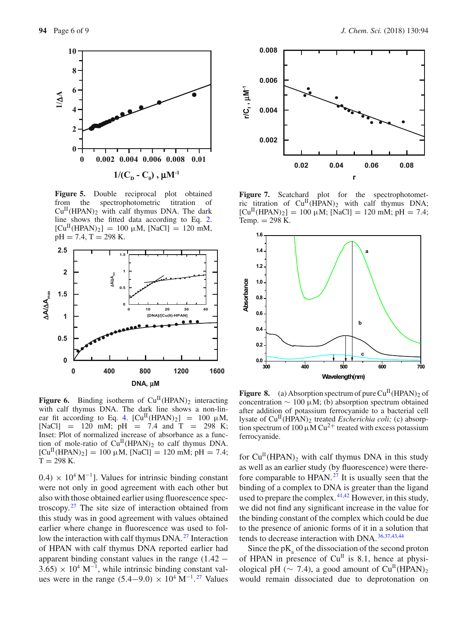

<span id="page-5-0"></span>**Figure 5.** Double reciprocal plot obtained from the spectrophotometric titration of  $Cu<sup>II</sup>(HPAN)$ <sub>2</sub> with calf thymus DNA. The dark line shows the fitted data according to Eq. [2.](#page-2-1)  $[Cu^{II}(HPAN)_2] = 100 \mu M$ ,  $[NaCl] = 120 \text{ mM}$ ,  $pH = 7.4$ , T = 298 K.



<span id="page-5-1"></span>**Figure 6.** Binding isotherm of  $Cu^{II}(HPAN)_2$  interacting with calf thymus DNA. The dark line shows a non-lin-ear fit according to Eq. [4.](#page-2-2)  $\text{[Cu}^{\text{II}}(\text{HPAN})_2$  = 100  $\mu$ M, [NaCl] = 120 mM; pH = 7.4 and T = 298 K; Inset: Plot of normalized increase of absorbance as a function of mole-ratio of  $Cu<sup>H</sup>(HPAN)<sub>2</sub>$  to calf thymus DNA.  $[Cu^{II}(HPAN)_2] = 100 \mu M$ ,  $[NaCl] = 120 \text{ mM}$ ;  $pH = 7.4$ ;  $T = 298$  K.

 $(0.4) \times 10^4 \,\mathrm{M}^{-1}$ ]. Values for intrinsic binding constant were not only in good agreement with each other but also with those obtained earlier using fluorescence spectroscopy. $27$  The site size of interaction obtained from this study was in good agreement with values obtained earlier where change in fluorescence was used to fol-low the interaction with calf thymus DNA.<sup>[27](#page-8-9)</sup> Interaction of HPAN with calf thymus DNA reported earlier had apparent binding constant values in the range  $(1.42 3.65 \times 10^4 \text{ M}^{-1}$ , while intrinsic binding constant values were in the range  $(5.4-9.0) \times 10^4 \text{ M}^{-1}$ .<sup>[27](#page-8-9)</sup> Values



<span id="page-5-2"></span>Figure 7. Scatchard plot for the spectrophotometric titration of  $Cu^{II}(HPAN)_2$  with calf thymus DNA;  $[Cu^{II}(HPAN)_2] = 100 \mu M$ ;  $[NaCl] = 120 \text{ mM}$ ;  $pH = 7.4$ ; Temp.  $= 298$  K.



<span id="page-5-3"></span>**Figure 8.** (a) Absorption spectrum of pure  $Cu<sup>H</sup>(HPAN)$ , of concentration  $\sim 100 \mu M$ ; (b) absorption spectrum obtained after addition of potassium ferrocyanide to a bacterial cell lysate of Cu<sup>II</sup>(HPAN)<sub>2</sub> treated *Escherichia coli*; (c) absorption spectrum of 100  $\mu$ M Cu<sup>2+</sup> treated with excess potassium ferrocyanide.

for  $Cu<sup>H</sup>(HPAN)<sub>2</sub>$  with calf thymus DNA in this study as well as an earlier study (by fluorescence) were therefore comparable to HPAN. $^{27}$  $^{27}$  $^{27}$  It is usually seen that the binding of a complex to DNA is greater than the ligand used to prepare the complex. <sup>[41](#page-8-24)[,42](#page-8-25)</sup> However, in this study, we did not find any significant increase in the value for the binding constant of the complex which could be due to the presence of anionic forms of it in a solution that tends to decrease interaction with DNA. [36](#page-8-26)[,37](#page-8-21)[,43](#page-8-27)[,44](#page-8-28)

Since the  $pK_a$  of the dissociation of the second proton of HPAN in presence of  $Cu<sup>H</sup>$  is 8.1, hence at physiological pH ( $\sim$  7.4), a good amount of Cu<sup>II</sup>(HPAN)<sub>2</sub> would remain dissociated due to deprotonation on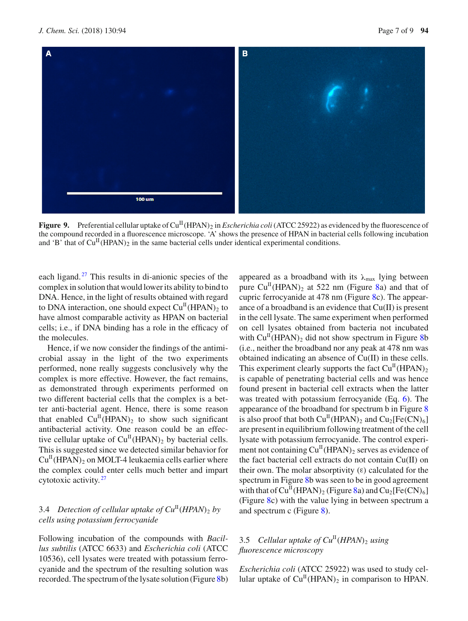

<span id="page-6-0"></span>**Figure 9.** Preferential cellular uptake of Cu<sup>II</sup>(HPAN)<sub>2</sub> in *Escherichia coli* (ATCC 25922) as evidenced by the fluorescence of the compound recorded in a fluorescence microscope. 'A' shows the presence of HPAN in bacterial cells following incubation and 'B' that of  $Cu<sup>H</sup>(HPAN)<sub>2</sub>$  in the same bacterial cells under identical experimental conditions.

each ligand.<sup>[27](#page-8-9)</sup> This results in di-anionic species of the complex in solution that would lower its ability to bind to DNA. Hence, in the light of results obtained with regard to DNA interaction, one should expect  $Cu<sup>H</sup>(HPAN)<sub>2</sub>$  to have almost comparable activity as HPAN on bacterial cells; i.e., if DNA binding has a role in the efficacy of the molecules.

Hence, if we now consider the findings of the antimicrobial assay in the light of the two experiments performed, none really suggests conclusively why the complex is more effective. However, the fact remains, as demonstrated through experiments performed on two different bacterial cells that the complex is a better anti-bacterial agent. Hence, there is some reason that enabled  $Cu^{II}(HPAN)$ <sub>2</sub> to show such significant antibacterial activity. One reason could be an effective cellular uptake of  $Cu^{II}(HPAN)_2$  by bacterial cells. This is suggested since we detected similar behavior for  $Cu<sup>II</sup>(HPAN)<sub>2</sub>$  on MOLT-4 leukaemia cells earlier where the complex could enter cells much better and impart cytotoxic activity. [27](#page-8-9)

# 3.4 *Detection of cellular uptake of*  $Cu<sup>H</sup>(HPAN)<sub>2</sub>$  *by cells using potassium ferrocyanide*

Following incubation of the compounds with *Bacillus subtilis* (ATCC 6633) and *Escherichia coli* (ATCC 10536), cell lysates were treated with potassium ferrocyanide and the spectrum of the resulting solution was recorded. The spectrum of the lysate solution (Figure [8b](#page-5-3)) appeared as a broadband with its  $\lambda_{\text{max}}$  lying between pure  $Cu<sup>H</sup>(HPAN)$ <sub>2</sub> at 522 nm (Figure [8a](#page-5-3)) and that of cupric ferrocyanide at 478 nm (Figure [8c](#page-5-3)). The appearance of a broadband is an evidence that Cu(II) is present in the cell lysate. The same experiment when performed on cell lysates obtained from bacteria not incubated with  $Cu<sup>H</sup>(HPAN)<sub>2</sub>$  did not show spectrum in Figure [8b](#page-5-3) (i.e., neither the broadband nor any peak at 478 nm was obtained indicating an absence of Cu(II) in these cells. This experiment clearly supports the fact  $Cu<sup>H</sup>(HPAN)<sub>2</sub>$ is capable of penetrating bacterial cells and was hence found present in bacterial cell extracts when the latter was treated with potassium ferrocyanide (Eq. [6\)](#page-2-4). The appearance of the broadband for spectrum b in Figure [8](#page-5-3) is also proof that both  $Cu<sup>H</sup>(HPAN)<sub>2</sub>$  and  $Cu<sub>2</sub>[Fe(CN)<sub>6</sub>]$ are present in equilibrium following treatment of the cell lysate with potassium ferrocyanide. The control experiment not containing  $Cu^{II}(HPAN)_2$  serves as evidence of the fact bacterial cell extracts do not contain Cu(II) on their own. The molar absorptivity  $(ε)$  calculated for the spectrum in Figure [8b](#page-5-3) was seen to be in good agreement with that of  $Cu<sup>H</sup>(HPAN)<sub>2</sub>$  (Figure [8a](#page-5-3)) and  $Cu<sub>2</sub>[Fe(CN)<sub>6</sub>]$ (Figure [8c](#page-5-3)) with the value lying in between spectrum a and spectrum c (Figure [8\)](#page-5-3).

## 3.5 *Cellular uptake of*  $Cu^{II}(HPAN)$ *<sub>2</sub> <i>using fluorescence microscopy*

*Escherichia coli* (ATCC 25922) was used to study cellular uptake of  $Cu<sup>H</sup>(HPAN)$ <sub>2</sub> in comparison to HPAN.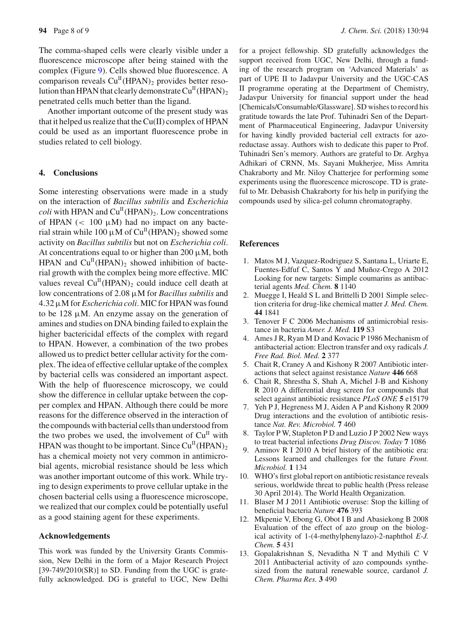The comma-shaped cells were clearly visible under a fluorescence microscope after being stained with the complex (Figure [9\)](#page-6-0). Cells showed blue fluorescence. A comparison reveals  $Cu^{II}(HPAN)$ <sub>2</sub> provides better resolution than HPAN that clearly demonstrate  $Cu<sup>H</sup>(HPAN)<sub>2</sub>$ penetrated cells much better than the ligand.

Another important outcome of the present study was that it helped us realize that the Cu(II) complex of HPAN could be used as an important fluorescence probe in studies related to cell biology.

#### **4. Conclusions**

Some interesting observations were made in a study on the interaction of *Bacillus subtilis* and *Escherichia coli* with HPAN and  $Cu<sup>H</sup>(HPAN)<sub>2</sub>$ . Low concentrations of HPAN  $\left($  < 100  $\mu$ M) had no impact on any bacterial strain while 100  $\mu$ M of Cu<sup>II</sup>(HPAN)<sub>2</sub> showed some activity on *Bacillus subtilis* but not on *Escherichia coli*. At concentrations equal to or higher than 200  $\mu$ M, both HPAN and  $Cu<sup>H</sup>(HPAN)$ , showed inhibition of bacterial growth with the complex being more effective. MIC values reveal  $Cu<sup>H</sup>(HPAN)$ <sub>2</sub> could induce cell death at low concentrations of 2.08 μM for *Bacillus subtilis* and 4.32μM for *Escherichia coli*. MIC for HPAN was found to be  $128 \mu M$ . An enzyme assay on the generation of amines and studies on DNA binding failed to explain the higher bactericidal effects of the complex with regard to HPAN. However, a combination of the two probes allowed us to predict better cellular activity for the complex. The idea of effective cellular uptake of the complex by bacterial cells was considered an important aspect. With the help of fluorescence microscopy, we could show the difference in cellular uptake between the copper complex and HPAN. Although there could be more reasons for the difference observed in the interaction of the compounds with bacterial cells than understood from the two probes we used, the involvement of  $Cu<sup>H</sup>$  with HPAN was thought to be important. Since  $Cu<sup>H</sup>(HPAN)$ <sub>2</sub> has a chemical moiety not very common in antimicrobial agents, microbial resistance should be less which was another important outcome of this work. While trying to design experiments to prove cellular uptake in the chosen bacterial cells using a fluorescence microscope, we realized that our complex could be potentially useful as a good staining agent for these experiments.

### **Acknowledgements**

This work was funded by the University Grants Commission, New Delhi in the form of a Major Research Project  $[39-749/2010(SR)]$  to SD. Funding from the UGC is gratefully acknowledged. DG is grateful to UGC, New Delhi for a project fellowship. SD gratefully acknowledges the support received from UGC, New Delhi, through a funding of the research program on 'Advanced Materials' as part of UPE II to Jadavpur University and the UGC-CAS II programme operating at the Department of Chemistry, Jadavpur University for financial support under the head [Chemicals/Consumable/Glassware]. SD wishes to record his gratitude towards the late Prof. Tuhinadri Sen of the Department of Pharmaceutical Engineering, Jadavpur University for having kindly provided bacterial cell extracts for azoreductase assay. Authors wish to dedicate this paper to Prof. Tuhinadri Sen's memory. Authors are grateful to Dr. Arghya Adhikari of CRNN, Ms. Sayani Mukherjee, Miss Amrita Chakraborty and Mr. Niloy Chatterjee for performing some experiments using the fluorescence microscope. TD is grateful to Mr. Debasish Chakraborty for his help in purifying the compounds used by silica-gel column chromatography.

#### **References**

- <span id="page-7-0"></span>1. Matos M J, Vazquez-Rodriguez S, Santana L, Uriarte E, Fuentes-Edfuf C, Santos Y and Muñoz-Crego A 2012 Looking for new targets: Simple coumarins as antibacterial agents *Med. Chem.* **8** 1140
- 2. Muegge I, Heald S L and Brittelli D 2001 Simple selection criteria for drug-like chemical matter *J. Med. Chem.* **44** 1841
- <span id="page-7-1"></span>3. Tenover F C 2006 Mechanisms of antimicrobial resistance in bacteria *Amer. J. Med.* **119** S3
- <span id="page-7-2"></span>4. Ames J R, Ryan M D and Kovacic P 1986 Mechanism of antibacterial action: Electron transfer and oxy radicals *J. Free Rad. Biol. Med.* **2** 377
- 5. Chait R, Craney A and Kishony R 2007 Antibiotic interactions that select against resistance *Nature* **446** 668
- 6. Chait R, Shrestha S, Shah A, Michel J-B and Kishony R 2010 A differential drug screen for compounds that select against antibiotic resistance *PLoS ONE* **5** e15179
- <span id="page-7-3"></span>7. Yeh P J, Hegreness M J, Aiden A P and Kishony R 2009 Drug interactions and the evolution of antibiotic resistance *Nat. Rev. Microbiol.* **7** 460
- <span id="page-7-4"></span>8. Taylor P W, Stapleton P D and Luzio J P 2002 New ways to treat bacterial infections *Drug Discov. Today* **7** 1086
- 9. Aminov R I 2010 A brief history of the antibiotic era: Lessons learned and challenges for the future *Front. Microbiol.* **1** 134
- <span id="page-7-5"></span>10. WHO's first global report on antibiotic resistance reveals serious, worldwide threat to public health (Press release 30 April 2014). The World Health Organization.
- <span id="page-7-6"></span>11. Blaser M J 2011 Antibiotic overuse: Stop the killing of beneficial bacteria *Nature* **476** 393
- <span id="page-7-7"></span>12. Mkpenie V, Ebong G, Obot I B and Abasiekong B 2008 Evaluation of the effect of azo group on the biological activity of 1-(4-methylphenylazo)-2-naphthol *E-J. Chem.* **5** 431
- <span id="page-7-8"></span>13. Gopalakrishnan S, Nevaditha N T and Mythili C V 2011 Antibacterial activity of azo compounds synthesized from the natural renewable source, cardanol *J. Chem. Pharma Res.* **3** 490